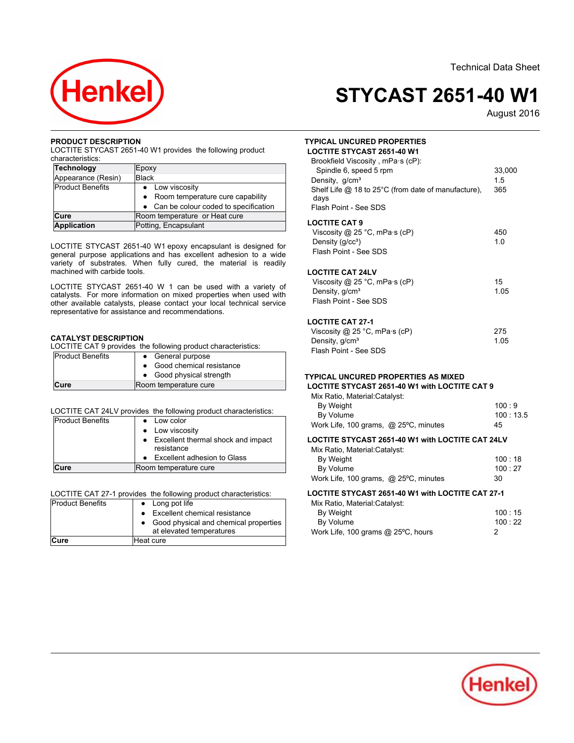

# **STYCAST 2651-40 W1**

August-2016

## **PRODUCT DESCRIPTION**

LOCTITE STYCAST 2651-40 W1 provides the following product characteristics: **Technology**

| Technology         | Epoxy                                  |
|--------------------|----------------------------------------|
| Appearance (Resin) | <b>Black</b>                           |
| Product Benefits   | • Low viscosity                        |
|                    | Room temperature cure capability       |
|                    | • Can be colour coded to specification |
| Cure               | Room temperature or Heat cure          |
| <b>Application</b> | Potting, Encapsulant                   |

LOCTITE STYCAST 2651-40 W1 epoxy encapsulant is designed for general purpose applications and has excellent adhesion to a wide variety of substrates. When fully cured, the material is readily vallety of substrates. With

LOCTITE STYCAST 2651-40 W 1 can be used with a variety of catalysts. For more information on mixed properties when used with other available catalysts, please contact your local technical service representative for assistance and recommendations.

## **CATALYST DESCRIPTION**

COCTITE CAT 9 provides the following product characteristics:<br>Decount Benefits and Concrete purpose

| <b>Product Benefits</b> | • General purpose<br>• Good chemical resistance |
|-------------------------|-------------------------------------------------|
|                         | • Good physical strength                        |
| <b>Cure</b>             | Room temperature cure                           |

### LOCTITE CAT 24LV provides the following product characteristics:

| <b>Product Benefits</b> | Low color                                        |
|-------------------------|--------------------------------------------------|
|                         | • Low viscosity                                  |
|                         | Excellent thermal shock and impact<br>resistance |
|                         | Excellent adhesion to Glass                      |
| <b>Cure</b>             | Room temperature cure                            |

LOCTITE CAT 27-1 provides the following product characteristics:<br>Product Benefits **Long pot life** 

| Product Benefits | • Long pot life                       |
|------------------|---------------------------------------|
|                  | • Excellent chemical resistance       |
|                  | Good physical and chemical properties |
|                  | at elevated temperatures              |
| ∣Cure            | Heat cure                             |

## **TYPICAL UNCURED PROPERTIESLOCTITE STYCAST 2651-40 W1**

| Brookfield Viscosity, mPa·s (cP):<br>Spindle 6, speed 5 rpm<br>Density, g/cm <sup>3</sup><br>Shelf Life $\omega$ 18 to 25°C (from date of manufacture).<br>days<br>Flash Point - See SDS | 33,000<br>15<br>365 |
|------------------------------------------------------------------------------------------------------------------------------------------------------------------------------------------|---------------------|
| <b>LOCTITE CAT 9</b><br>Viscosity @ 25 °C, mPa $\cdot$ s (cP)<br>Density $(q/cc3)$<br>Flash Point - See SDS                                                                              | 450<br>1 0          |
| <b>LOCTITE CAT 24LV</b><br>Viscosity @ 25 °C, mPa $\cdot$ s (cP)<br>Density, g/cm <sup>3</sup><br>Flash Point - See SDS                                                                  | 15<br>1.05          |

## **LOCTITE CAT 27-1**

| 275  |
|------|
| 1.05 |
|      |
|      |

## **TYPICAL UNCURED PROPERTIES AS MIXED**

# **LOCTITE STYCAST 2651-40 W1 with LOCTITE CAT 9**

| Mix Ratio, Material: Catalyst:        |               |
|---------------------------------------|---------------|
| By Weight                             | $100 \cdot 9$ |
| By Volume                             | 100:13.5      |
| Work Life, 100 grams, @ 25°C, minutes | 45            |

## **LOCTITE STYCAST 2651-40 W1 with LOCTITE CAT 24LV**

| 100:18         |
|----------------|
| $100 \cdot 27$ |
| 30             |
|                |

## **LOCTITE STYCAST 2651-40 W1 with LOCTITE CAT 27-1**

| Mix Ratio, Material: Catalyst:     |                |
|------------------------------------|----------------|
| By Weight                          | $100 \cdot 15$ |
| By Volume                          | 100:22         |
| Work Life, 100 grams @ 25°C, hours |                |

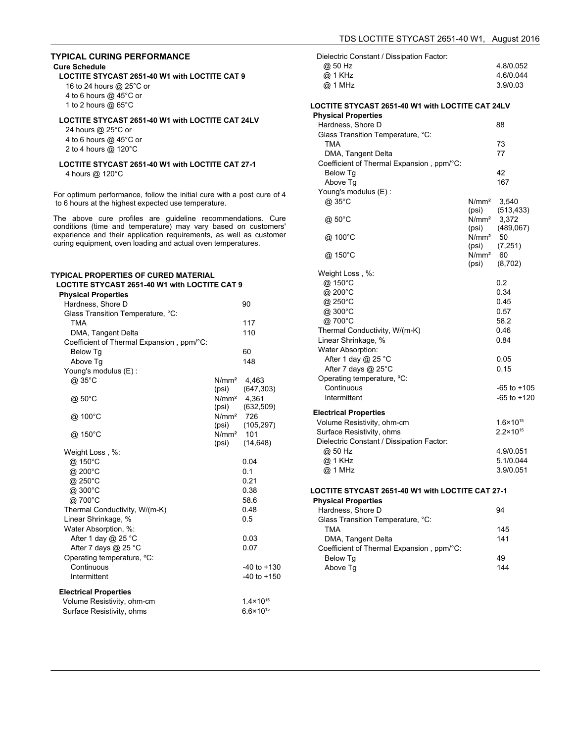# **TYPICAL CURING PERFORMANCE**

### **Cure Schedule**

**LOCTITE STYCAST 2651-40 W1 with LOCTITE CAT 9** 16 to 24 hours @ 25°C or

4 to 6 hours @ 45°C or 1 to 2 hours  $@$  65°C

# **LOCTITE STYCAST 2651-40 W1 with LOCTITE CAT 24LV**

24 hours @ 25°C or 4 to 6 hours @ 45°C or 2 to 4 hours @ 120°C

# **LOCTITE STYCAST 2651-40 W1 with LOCTITE CAT 27-1**

4 hours @ 120°C

For optimum performance, follow the initial cure with a post cure of 4 to 6 hours at the highest expected use temperature.

The above cure profiles are guideline recommendations. Cure conditions (time and temperature) may vary based on customers' experience and their application requirements, as well as customer curing equipment, oven loading and actual oven temperatures.

#### **TYPICAL PROPERTIES OF CURED MATERIALLOCTITE STYCAST 2651-40 W1 with LOCTITE CAT 9 Physical Properties** Hardness, Shore D 90 Glass Transition Temperature, °C: TMA 117 TMA 117<br>DMA, Tangent Delta 110 110 110 Coefficient of Thermal Expansion , ppm/°C: Below Tg 6060 Below Tg<br>Above Tg 148 Young's modulus (E) : @ 35°C N/mm² 4,463 (psi) (647,303)  $\frac{1}{2}$  50°C  $\frac{1}{261}$ 4,361 (psi) (632,509)  $\frac{100°C}{C}$  N/mm<sup>2</sup> 726 726 (psi) (105,297) @ 150°C N/mm² 101 (psi) (14,648) Weight Loss , %:  $\omega$  150°C 0.04  $@.200^{\circ}$ C 0.1  $\omega$  250°C 0.21  $@300^{\circ}$ C 0.38  $@.700°C$ 58.6 Thermal Conductivity, W/(m-K) 0.48 Linear Shrinkage, % 0.5 Water Absorption, %: After 1 day  $@$  25 °C  $0.03$ After 7 days  $@$  25 °C 0.07 Operating temperature, ºC: Continuous -40 to +130 Intermittent -40 to +150 **Electrical Properties** Volume Resistivity, ohm-cm 1.4×10<sup>15</sup> Surface Resistivity, ohms 6.6×10<sup>15</sup>

| Dielectric Constant / Dissipation Factor:<br>@ 50 Hz<br>@ 1 KHz<br>@ 1 MHz |                   | 4.8/0.052<br>4.6/0.044<br>3.9/0.03 |
|----------------------------------------------------------------------------|-------------------|------------------------------------|
| LOCTITE STYCAST 2651-40 W1 with LOCTITE CAT 24LV                           |                   |                                    |
| <b>Physical Properties</b>                                                 |                   |                                    |
| Hardness, Shore D                                                          |                   | 88                                 |
| Glass Transition Temperature, °C:<br><b>TMA</b>                            |                   |                                    |
|                                                                            |                   | 73<br>77                           |
| DMA, Tangent Delta                                                         |                   |                                    |
| Coefficient of Thermal Expansion, ppm/°C:                                  |                   | 42                                 |
| Below Tg                                                                   |                   | 167                                |
| Above Tg                                                                   |                   |                                    |
| Young's modulus (E) :<br>@ 35°C                                            | N/mm <sup>2</sup> | 3,540                              |
|                                                                            | (psi)             | (513, 433)                         |
| @ 50°C                                                                     | N/mm <sup>2</sup> | 3,372                              |
|                                                                            | (psi)             | (489,067)                          |
| @ 100°C                                                                    | N/mm <sup>2</sup> | -50                                |
|                                                                            | (psi)             | (7, 251)                           |
| @ 150°C                                                                    | $N/mm^2$ 60       |                                    |
|                                                                            | (psi)             | (8,702)                            |
| Weight Loss, %:                                                            |                   |                                    |
| @ 150°C                                                                    |                   | 0.2                                |
| @ 200°C                                                                    |                   | 0.34                               |
| @ 250°C                                                                    |                   | 0.45                               |
| @ 300°C                                                                    |                   | 0.57                               |
| @ 700°C                                                                    |                   | 58.2                               |
| Thermal Conductivity, W/(m-K)                                              |                   | 0.46                               |
| Linear Shrinkage, %                                                        |                   | 0.84                               |
| <b>Water Absorption:</b>                                                   |                   |                                    |
| After 1 day @ 25 °C                                                        |                   | 0.05                               |
| After 7 days @ 25°C                                                        |                   | 0.15                               |
| Operating temperature, °C:                                                 |                   |                                    |
| Continuous                                                                 |                   | $-65$ to $+105$                    |
| Intermittent                                                               |                   | $-65$ to $+120$                    |
| <b>Electrical Properties</b>                                               |                   |                                    |
| Volume Resistivity, ohm-cm                                                 |                   | $1.6 \times 10^{15}$               |
| Surface Resistivity, ohms                                                  |                   | $2.2 \times 10^{15}$               |
| Dielectric Constant / Dissipation Factor:                                  |                   |                                    |
| @ 50 Hz                                                                    |                   | 4.9/0.051                          |
| @ 1 KHz                                                                    |                   | 5.1/0.044                          |
| @ 1 MHz                                                                    |                   | 3.9/0.051                          |
|                                                                            |                   |                                    |
| LOCTITE STYCAST 2651-40 W1 with LOCTITE CAT 27-1                           |                   |                                    |

## **Physical Properties**

| <b>PIIVSICAL PIODELLIES</b>               |     |
|-------------------------------------------|-----|
| Hardness, Shore D                         | 94  |
| Glass Transition Temperature, °C:         |     |
| TMA                                       | 145 |
| DMA, Tangent Delta                        | 141 |
| Coefficient of Thermal Expansion, ppm/°C: |     |
| Below Tq                                  | 49  |
| Above Tq                                  | 144 |
|                                           |     |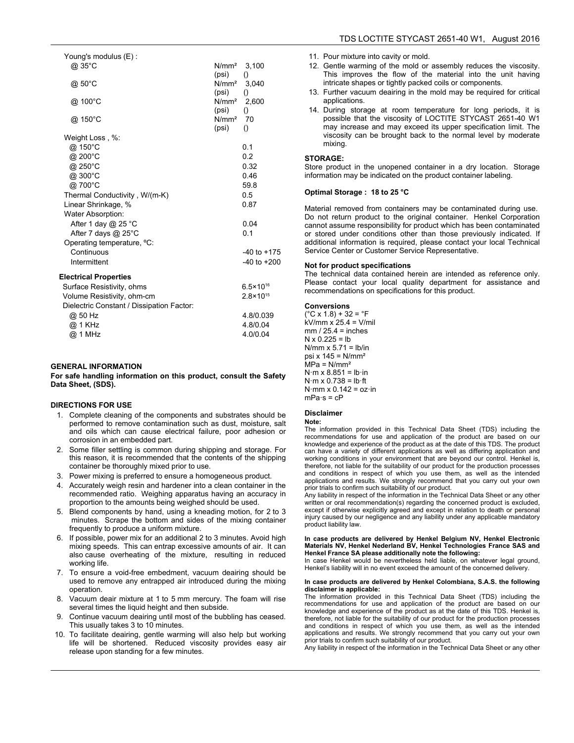| Young's modulus (E):                      |                            |                           |
|-------------------------------------------|----------------------------|---------------------------|
| @ 35°C                                    | N/mm <sup>2</sup>          | 3.100                     |
|                                           | (psi)                      | $\left( \right)$          |
| @ 50°C                                    | N/mm <sup>2</sup>          | 3,040                     |
| @ 100°C                                   | (psi)<br>N/mm <sup>2</sup> | $\left( \right)$          |
|                                           | (psi)                      | 2,600<br>$\left( \right)$ |
| @ 150°C                                   | N/mm <sup>2</sup>          | 70                        |
|                                           | (psi)                      | $\left( \right)$          |
| Weight Loss, %:                           |                            |                           |
| @ 150°C                                   |                            | 0.1                       |
| @ 200°C                                   |                            | 0.2                       |
| @ 250°C                                   |                            | 0.32                      |
| @ 300°C                                   |                            | 0.46                      |
| @700°C                                    |                            | 59.8                      |
| Thermal Conductivity, W/(m-K)             |                            | 0.5                       |
| Linear Shrinkage, %                       |                            | 0.87                      |
| <b>Water Absorption:</b>                  |                            |                           |
| After 1 day $@$ 25 °C                     |                            | 0.04                      |
| After 7 days @ 25°C                       |                            | 0.1                       |
| Operating temperature, °C:                |                            |                           |
| Continuous                                |                            | $-40$ to $+175$           |
| Intermittent                              |                            | $-40$ to $+200$           |
| <b>Electrical Properties</b>              |                            |                           |
| Surface Resistivity, ohms                 |                            | $6.5 \times 10^{16}$      |
| Volume Resistivity, ohm-cm                |                            | $2.8 \times 10^{15}$      |
| Dielectric Constant / Dissipation Factor: |                            |                           |
| @ 50 Hz                                   |                            | 4.8/0.039                 |
| @ 1 KHz                                   |                            | 4.8/0.04                  |
| @ 1 MHz                                   |                            | 4.0/0.04                  |
|                                           |                            |                           |

#### **GENERAL INFORMATION**

#### **For safe handling information on this product, consult the SafetyData Sheet, (SDS).**

#### **DIRECTIONS FOR USE**

- 1. Complete cleaning of the components and substrates should be performed to remove contamination such as dust, moisture, salt and oils which can cause electrical failure, poor adhesion or corrosion in an embedded part.
- 2. Some filler settling is common during shipping and storage. For this reason, it is recommended that the contents of the shipping container be thoroughly mixed prior to use.
- 3. Power mixing is preferred to ensure a homogeneous product.
- 4. Accurately weigh resin and hardener into a clean container in the recommended ratio. Weighing apparatus having an accuracy in proportion to the amounts being weighed should be used.
- 5. Blend components by hand, using a kneading motion, for 2 to 3 minutes. Scrape the bottom and sides of the mixing container frequently to produce a uniform mixture.
- 6. If possible, power mix for an additional 2 to 3 minutes. Avoid high mixing speeds. This can entrap excessive amounts of air. It can also cause overheating of the mixture, resulting in reduced working life.
- 7. To ensure a void-free embedment, vacuum deairing should be used to remove any entrapped air introduced during the mixing operation.
- 8. Vacuum deair mixture at 1 to 5 mm mercury. The foam will rise several times the liquid height and then subside.
- 9. Continue vacuum deairing until most of the bubbling has ceased. This usually takes 3 to 10 minutes.
- 10. To facilitate deairing, gentle warming will also help but working life will be shortened. Reduced viscosity provides easy air release upon standing for a few minutes.
- 11. Pour mixture into cavity or mold.
- 12. Gentle warming of the mold or assembly reduces the viscosity. This improves the flow of the material into the unit havingintricate shapes or tightly packed coils or components.
- 13. Further vacuum deairing in the mold may be required for critical applications.
- 14. During storage at room temperature for long periods, it is possible that the viscosity of LOCTITE STYCAST 2651-40 W1 possible that the viscosity of EDOTTHE OTTORET 2001 40 WT<br>may increase and may exceed its upper specification limit. The viscosity can be brought back to the normal level by moderate mixing.

#### **STORAGE:**

Store product in the unopened container in a dry location. Storageinformation may be indicated on the product container labeling.

## **Optimal Storage : 18 to 25 °C**

Material removed from containers may be contaminated during use. Do not return product to the original container. Henkel Corporation cannot assume responsibility for product which has been contaminated or stored under conditions other than those previously indicated. If additional information is required, please contact your local Technical Service Center or Customer Service Representative.

## **Not for product specifications**

The technical data contained herein are intended as reference only. Please contact your local quality department for assistance and recommendations on specifications for this product.

#### **Conversions**

 (°C x 1.8) + 32 = °F kV/mm x 25.4 = V/mil  $mm / 25.4 = inches$  $N \times 0.225 = lb$ N/mm x 5.71 = lb/in psi x  $145 = N/mm<sup>2</sup>$  $MPa = N/mm<sup>2</sup>$ N·m x 8.851 = lb·in N·m x 0.738 = lb·ft  $N·mm \times 0.142 = oz·in$  $mPa·s = cP$ 

#### **Disclaimer**

## **Note:**

The information provided in this Technical Data Sheet (TDS) including the recommendations for use and application of the product are based on ourknowledge and experience of the product as at the date of this TDS. The product can have a variety of different applications as well as differing application and working conditions in your environment that are beyond our control. Henkel is, therefore, not liable for the suitability of our product for the production processes and conditions in respect of which you use them, as well as the intended applications and results. We strongly recommend that you carry out your own prior trials to confirm such suitability of our product.

 Any liability in respect of the information in the Technical Data Sheet or any other with the maximum in the commendation in the community and critical base of the concerned product is excluded, except if otherwise explicitly agreed and except in relation to death or personal injury caused by our negligence and any liability under any applicable mandatory myary caused by our<br>product liability law.

# **In case products are delivered by Henkel Belgium NV, Henkel Electronic Materials NV, Henkel Nederland BV, Henkel Technologies France SAS and Henkel France SA please additionally note the following:**

In case Henkel would be nevertheless held liable, on whatever legal ground, Henkel's liability will in no event exceed the amount of the concerned delivery.

#### **In case products are delivered by Henkel Colombiana, S.A.S. the following disclaimer is applicable:**

 The information provided in this Technical Data Sheet (TDS) including the recommendations for use and application of the product are based on our knowledge and experience of the product as at the date of this TDS. Henkel is, therefore, not liable for the suitability of our product for the production processes and conditions in respect of which you use them, as well as the intended applications and results. We strongly recommend that you carry out your own prior trials to confirm such suitability of our product.

Any liability in respect of the information in the Technical Data Sheet or any other